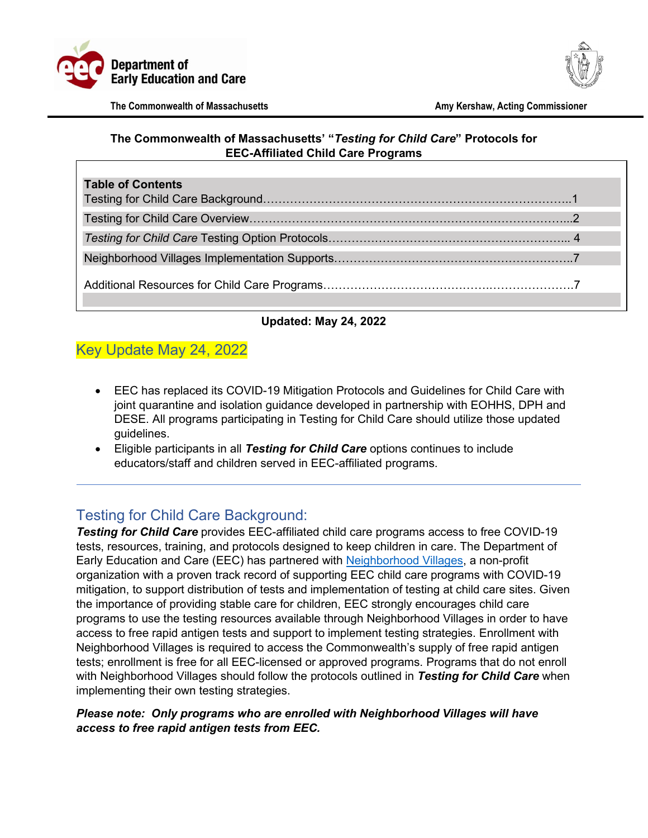



#### **The Commonwealth of Massachusetts' "***Testing for Child Care***" Protocols for EEC-Affiliated Child Care Programs**

| <b>Table of Contents</b> |
|--------------------------|
|                          |
|                          |
|                          |
|                          |
|                          |

### **Updated: May 24, 2022**

# Key Update May 24, 2022

- [EEC has replaced its COVID-19 Mitigation Protocols and Guidelines for Child Care with](https://massgov-my.sharepoint.com/personal/catherine_premont_mass_gov/Documents/Testing%20for%20Child%20Care%20Protocols_updated%205.4.22.docx#_Toc102561547)   [joint quarantine and isolation guidance developed in partnership with EOHHS, DPH and](https://massgov-my.sharepoint.com/personal/catherine_premont_mass_gov/Documents/Testing%20for%20Child%20Care%20Protocols_updated%205.4.22.docx#_Toc102561547)  DESE. All programs participating in Testing for Child Care should utilize those updated guidelines.
- Eligible participants in all *Testing for Child Care* options continues to include  educators/staff and children served in EEC-affiliated programs.

## <span id="page-0-0"></span>Testing for Child Care Background:

*Testing for Child Care* provides EEC-affiliated child care programs access to free COVID-19 tests, resources, training, and protocols designed to keep children in care. The Department of Early Education and Care (EEC) has partnered with [Neighborhood Villages,](https://www.neighborhoodvillages.org/) a non-profit organization with a proven track record of supporting EEC child care programs with COVID-19 mitigation, to support distribution of tests and implementation of testing at child care sites. Given the importance of providing stable care for children, EEC strongly encourages child care programs to use the testing resources available through Neighborhood Villages in order to have access to free rapid antigen tests and support to implement testing strategies. Enrollment with Neighborhood Villages is required to access the Commonwealth's supply of free rapid antigen tests; enrollment is free for all EEC-licensed or approved programs. Programs that do not enroll with Neighborhood Villages should follow the protocols outlined in *Testing for Child Care* when implementing their own testing strategies.

#### *Please note: Only programs who are enrolled with Neighborhood Villages will have access to free rapid antigen tests from EEC.*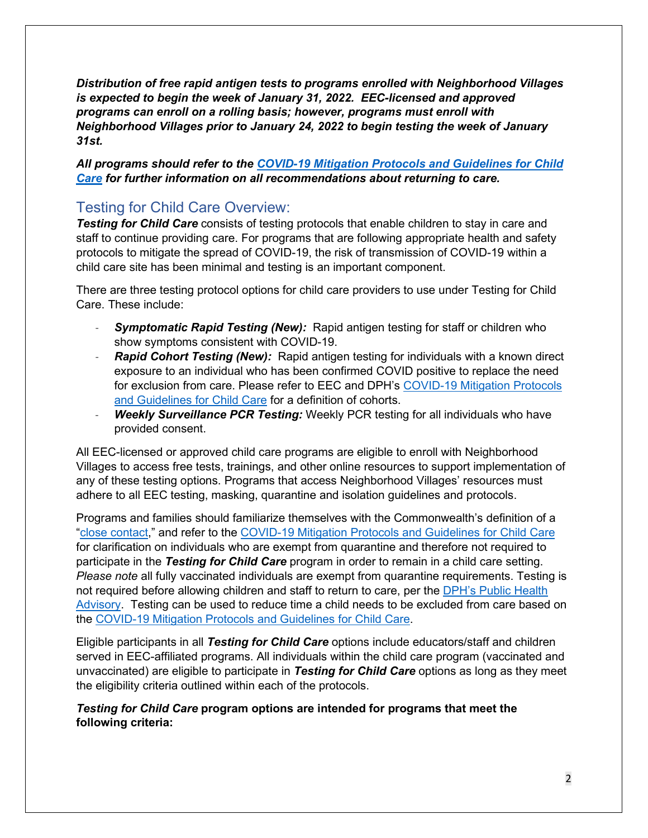*Distribution of free rapid antigen tests to programs enrolled with Neighborhood Villages is expected to begin the week of January 31, 2022. EEC-licensed and approved programs can enroll on a rolling basis; however, programs must enroll with Neighborhood Villages prior to January 24, 2022 to begin testing the week of January 31st.* 

*All programs should refer to the [COVID-19 Mitigation Protocols and Guidelines](https://www.mass.gov/doc/covid-19-recommended-protocols-and-guidelines-for-eec-licensed-child-care-programs1622/download) for Child [Care](https://www.mass.gov/doc/covid-19-recommended-protocols-and-guidelines-for-eec-licensed-child-care-programs1622/download) for further information on all recommendations about returning to care.* 

# <span id="page-1-0"></span>Testing for Child Care Overview:

**Testing for Child Care** consists of testing protocols that enable children to stay in care and staff to continue providing care. For programs that are following appropriate health and safety protocols to mitigate the spread of COVID-19, the risk of transmission of COVID-19 within a child care site has been minimal and testing is an important component.

There are three testing protocol options for child care providers to use under Testing for Child Care. These include:

- **Symptomatic Rapid Testing (New):** Rapid antigen testing for staff or children who show symptoms consistent with COVID-19.
- **Rapid Cohort Testing** *(New)***:** Rapid antigen testing for individuals with a known direct exposure to an individual who has been confirmed COVID positive to replace the need for exclusion from care. Please refer to EEC and DPH's [COVID-19 Mitigation Protocols](https://www.mass.gov/doc/covid-19-recommended-protocols-and-guidelines-for-eec-licensed-child-care-programs1622/download)  [and Guidelines](https://www.mass.gov/doc/covid-19-recommended-protocols-and-guidelines-for-eec-licensed-child-care-programs1622/download) for Child Care for a definition of cohorts.
- **Weekly Surveillance PCR Testing:** Weekly PCR testing for all individuals who have provided consent.

All EEC-licensed or approved child care programs are eligible to enroll with Neighborhood Villages to access free tests, trainings, and other online resources to support implementation of any of these testing options. Programs that access Neighborhood Villages' resources must adhere to all EEC testing, masking, quarantine and isolation guidelines and protocols.

Programs and families should familiarize themselves with the Commonwealth's definition of a ["close contact,](https://www.mass.gov/info-details/about-covid-19-testing)" and refer to the [COVID-19 Mitigation Protocols and Guidelines](https://www.mass.gov/doc/covid-19-recommended-protocols-and-guidelines-for-eec-licensed-child-care-programs1622/download) for Child Care for clarification on individuals who are exempt from quarantine and therefore not required to participate in the *Testing for Child Care* program in order to remain in a child care setting. *Please note* all fully vaccinated individuals are exempt from quarantine requirements. Testing is not required before allowing children and staff to return to care, per the [DPH's Public Health](https://www.mass.gov/advisory/public-health-advisory-regarding-covid-19-testing#:%7E:text=The%20Massachusetts%20Department%20of%20Public,with%20the%20new%20CDC%20guidance.)  [Advisory.](https://www.mass.gov/advisory/public-health-advisory-regarding-covid-19-testing#:%7E:text=The%20Massachusetts%20Department%20of%20Public,with%20the%20new%20CDC%20guidance.) Testing can be used to reduce time a child needs to be excluded from care based on the [COVID-19 Mitigation Protocols and Guidelines](https://www.mass.gov/doc/covid-19-recommended-protocols-and-guidelines-for-eec-licensed-child-care-programs1622/download) for Child Care.

Eligible participants in all *Testing for Child Care* options include educators/staff and children served in EEC-affiliated programs. All individuals within the child care program (vaccinated and unvaccinated) are eligible to participate in *Testing for Child Care* options as long as they meet the eligibility criteria outlined within each of the protocols.

*Testing for Child Care* **program options are intended for programs that meet the following criteria:**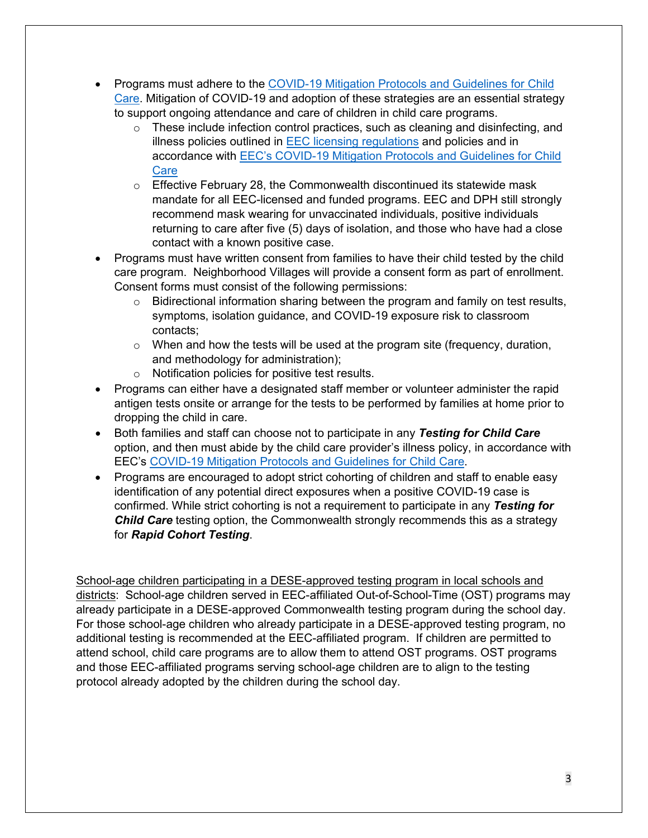- Programs must adhere to the COVID-19 Mitigation Protocols and Guidelines for Child [Care.](https://www.mass.gov/doc/covid-19-recommended-protocols-and-guidelines-for-eec-licensed-child-care-programs1622/download) Mitigation of COVID-19 and adoption of these strategies are an essential strategy to support ongoing attendance and care of children in child care programs.
	- o These include infection control practices, such as cleaning and disinfecting, and illness policies outlined in [EEC licensing regulations](https://www.mass.gov/doc/606-cmr-700-regulations-for-family-group-school-age-child-care-programs/download) and policies and in accordance with [EEC's COVID-19 Mitigation Protocols and Guidelines for Child](https://www.mass.gov/doc/covid-19-recommended-protocols-and-guidelines-for-eec-licensed-child-care-programs1622/download)  **[Care](https://www.mass.gov/doc/covid-19-recommended-protocols-and-guidelines-for-eec-licensed-child-care-programs1622/download)**
	- $\circ$  Effective February 28, the Commonwealth discontinued its statewide mask mandate for all EEC-licensed and funded programs. EEC and DPH still strongly recommend mask wearing for unvaccinated individuals, positive individuals returning to care after five (5) days of isolation, and those who have had a close contact with a known positive case.
- Programs must have written consent from families to have their child tested by the child care program. Neighborhood Villages will provide a consent form as part of enrollment. Consent forms must consist of the following permissions:
	- $\circ$  Bidirectional information sharing between the program and family on test results, symptoms, isolation guidance, and COVID-19 exposure risk to classroom contacts;
	- $\circ$  When and how the tests will be used at the program site (frequency, duration, and methodology for administration);
	- o Notification policies for positive test results.
- Programs can either have a designated staff member or volunteer administer the rapid antigen tests onsite or arrange for the tests to be performed by families at home prior to dropping the child in care.
- Both families and staff can choose not to participate in any *Testing for Child Care* option, and then must abide by the child care provider's illness policy, in accordance with EEC's [COVID-19 Mitigation Protocols and Guidelines](https://www.mass.gov/doc/covid-19-recommended-protocols-and-guidelines-for-eec-licensed-child-care-programs1622/download) for Child Care.
- Programs are encouraged to adopt strict cohorting of children and staff to enable easy identification of any potential direct exposures when a positive COVID-19 case is confirmed. While strict cohorting is not a requirement to participate in any *Testing for Child Care* testing option, the Commonwealth strongly recommends this as a strategy for *Rapid Cohort Testing*.

School-age children participating in a DESE-approved testing program in local schools and districts: School-age children served in EEC-affiliated Out-of-School-Time (OST) programs may already participate in a DESE-approved Commonwealth testing program during the school day. For those school-age children who already participate in a DESE-approved testing program, no additional testing is recommended at the EEC-affiliated program. If children are permitted to attend school, child care programs are to allow them to attend OST programs. OST programs and those EEC-affiliated programs serving school-age children are to align to the testing protocol already adopted by the children during the school day.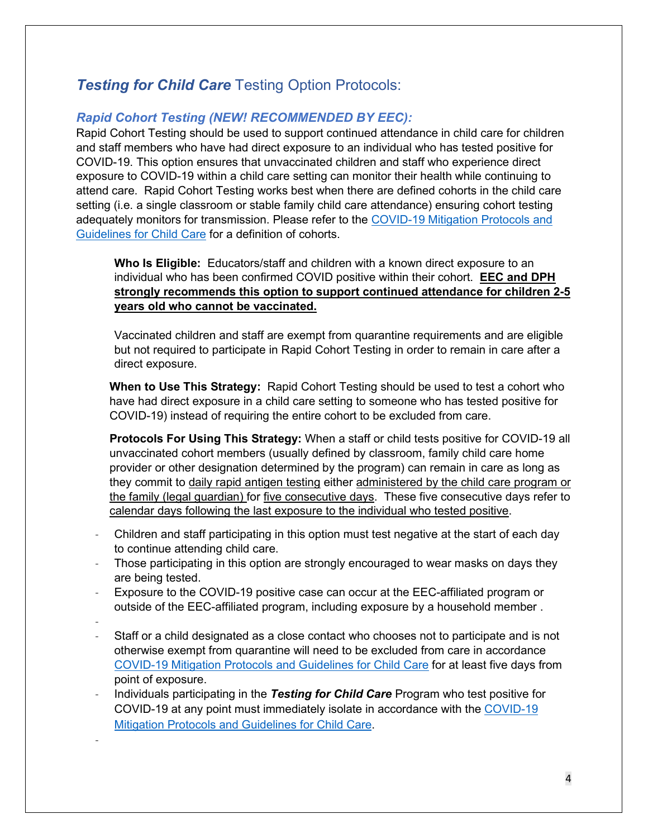# <span id="page-3-0"></span>**Testing for Child Care Testing Option Protocols:**

## *Rapid Cohort Testing (NEW! RECOMMENDED BY EEC):*

Rapid Cohort Testing should be used to support continued attendance in child care for children and staff members who have had direct exposure to an individual who has tested positive for COVID-19. This option ensures that unvaccinated children and staff who experience direct exposure to COVID-19 within a child care setting can monitor their health while continuing to attend care. Rapid Cohort Testing works best when there are defined cohorts in the child care setting (i.e. a single classroom or stable family child care attendance) ensuring cohort testing adequately monitors for transmission. Please refer to the [COVID-19 Mitigation Protocols and](https://www.mass.gov/doc/covid-19-recommended-protocols-and-guidelines-for-eec-licensed-child-care-programs1622/download)  [Guidelines for Child Care](https://www.mass.gov/doc/covid-19-recommended-protocols-and-guidelines-for-eec-licensed-child-care-programs1622/download) for a definition of cohorts.

**Who Is Eligible:** Educators/staff and children with a known direct exposure to an individual who has been confirmed COVID positive within their cohort. **EEC and DPH strongly recommends this option to support continued attendance for children 2-5 years old who cannot be vaccinated.**

Vaccinated children and staff are exempt from quarantine requirements and are eligible but not required to participate in Rapid Cohort Testing in order to remain in care after a direct exposure.

**When to Use This Strategy:** Rapid Cohort Testing should be used to test a cohort who have had direct exposure in a child care setting to someone who has tested positive for COVID-19) instead of requiring the entire cohort to be excluded from care.

**Protocols For Using This Strategy:** When a staff or child tests positive for COVID-19 all unvaccinated cohort members (usually defined by classroom, family child care home provider or other designation determined by the program) can remain in care as long as they commit to daily rapid antigen testing either administered by the child care program or the family (legal guardian) for five consecutive days. These five consecutive days refer to calendar days following the last exposure to the individual who tested positive.

- Children and staff participating in this option must test negative at the start of each day to continue attending child care.
- Those participating in this option are strongly encouraged to wear masks on days they are being tested.
- Exposure to the COVID-19 positive case can occur at the EEC-affiliated program or outside of the EEC-affiliated program, including exposure by a household member .
- -

-

- Staff or a child designated as a close contact who chooses not to participate and is not otherwise exempt from quarantine will need to be excluded from care in accordance COVID-19 [Mitigation Protocols and Guidelines for Child Care](https://www.mass.gov/doc/covid-19-recommended-protocols-and-guidelines-for-eec-licensed-child-care-programs1622/download) for at least five days from point of exposure.
- Individuals participating in the *Testing for Child Care* Program who test positive for COVID-19 at any point must immediately isolate in accordance with the [COVID-19](https://www.mass.gov/doc/covid-19-recommended-protocols-and-guidelines-for-eec-licensed-child-care-programs1622/download)  [Mitigation Protocols and Guidelines for Child Care.](https://www.mass.gov/doc/covid-19-recommended-protocols-and-guidelines-for-eec-licensed-child-care-programs1622/download)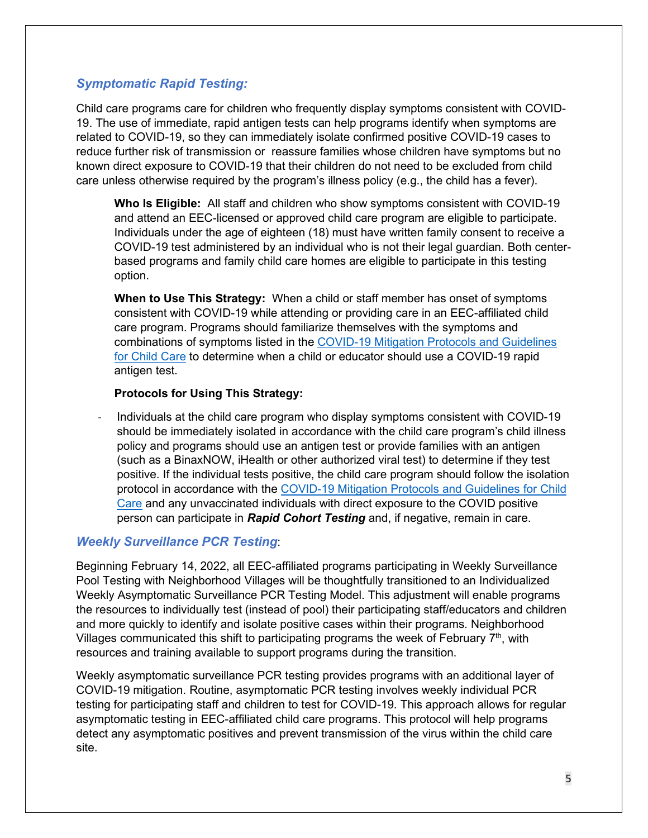### *Symptomatic Rapid Testing:*

Child care programs care for children who frequently display symptoms consistent with COVID-19. The use of immediate, rapid antigen tests can help programs identify when symptoms are related to COVID-19, so they can immediately isolate confirmed positive COVID-19 cases to reduce further risk of transmission or reassure families whose children have symptoms but no known direct exposure to COVID-19 that their children do not need to be excluded from child care unless otherwise required by the program's illness policy (e.g., the child has a fever).

**Who Is Eligible:** All staff and children who show symptoms consistent with COVID-19 and attend an EEC-licensed or approved child care program are eligible to participate. Individuals under the age of eighteen (18) must have written family consent to receive a COVID-19 test administered by an individual who is not their legal guardian. Both centerbased programs and family child care homes are eligible to participate in this testing option.

**When to Use This Strategy:** When a child or staff member has onset of symptoms consistent with COVID-19 while attending or providing care in an EEC-affiliated child care program. Programs should familiarize themselves with the symptoms and combinations of symptoms listed in the [COVID-19 Mitigation Protocols and Guidelines](https://www.mass.gov/doc/covid-19-recommended-protocols-and-guidelines-for-eec-licensed-child-care-programs1622/download) [for Child Care](https://www.mass.gov/doc/covid-19-recommended-protocols-and-guidelines-for-eec-licensed-child-care-programs1622/download) to determine when a child or educator should use a COVID-19 rapid antigen test.

#### **Protocols for Using This Strategy:**

Individuals at the child care program who display symptoms consistent with COVID-19 should be immediately isolated in accordance with the child care program's child illness policy and programs should use an antigen test or provide families with an antigen (such as a BinaxNOW, iHealth or other authorized viral test) to determine if they test positive. If the individual tests positive, the child care program should follow the isolation protocol in accordance with the [COVID-19 Mitigation Protocols and Guidelines for Child](https://www.mass.gov/doc/covid-19-recommended-protocols-and-guidelines-for-eec-licensed-child-care-programs1622/download)  [Care](https://www.mass.gov/doc/covid-19-recommended-protocols-and-guidelines-for-eec-licensed-child-care-programs1622/download) and any unvaccinated individuals with direct exposure to the COVID positive person can participate in *Rapid Cohort Testing* and, if negative, remain in care.

#### *Weekly Surveillance PCR Testing*:

Beginning February 14, 2022, all EEC-affiliated programs participating in Weekly Surveillance Pool Testing with Neighborhood Villages will be thoughtfully transitioned to an Individualized Weekly Asymptomatic Surveillance PCR Testing Model. This adjustment will enable programs the resources to individually test (instead of pool) their participating staff/educators and children and more quickly to identify and isolate positive cases within their programs. Neighborhood Villages communicated this shift to participating programs the week of February  $7<sup>th</sup>$ , with resources and training available to support programs during the transition.

Weekly asymptomatic surveillance PCR testing provides programs with an additional layer of COVID-19 mitigation. Routine, asymptomatic PCR testing involves weekly individual PCR testing for participating staff and children to test for COVID-19. This approach allows for regular asymptomatic testing in EEC-affiliated child care programs. This protocol will help programs detect any asymptomatic positives and prevent transmission of the virus within the child care site.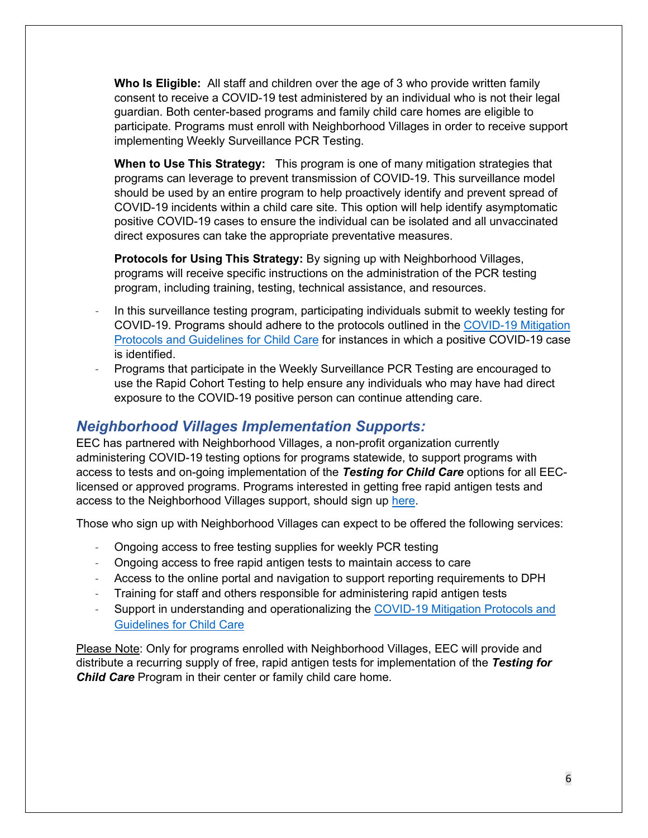**Who Is Eligible:** All staff and children over the age of 3 who provide written family consent to receive a COVID-19 test administered by an individual who is not their legal guardian. Both center-based programs and family child care homes are eligible to participate. Programs must enroll with Neighborhood Villages in order to receive support implementing Weekly Surveillance PCR Testing.

**When to Use This Strategy:** This program is one of many mitigation strategies that programs can leverage to prevent transmission of COVID-19. This surveillance model should be used by an entire program to help proactively identify and prevent spread of COVID-19 incidents within a child care site. This option will help identify asymptomatic positive COVID-19 cases to ensure the individual can be isolated and all unvaccinated direct exposures can take the appropriate preventative measures.

**Protocols for Using This Strategy:** By signing up with Neighborhood Villages, programs will receive specific instructions on the administration of the PCR testing program, including training, testing, technical assistance, and resources.

- In this surveillance testing program, participating individuals submit to weekly testing for COVID-19. Programs should adhere to the protocols outlined in the [COVID-19 Mitigation](https://www.mass.gov/doc/covid-19-recommended-protocols-and-guidelines-for-eec-licensed-child-care-programs1622/download)  [Protocols and Guidelines for Child Care](https://www.mass.gov/doc/covid-19-recommended-protocols-and-guidelines-for-eec-licensed-child-care-programs1622/download) for instances in which a positive COVID-19 case is identified.
- Programs that participate in the Weekly Surveillance PCR Testing are encouraged to use the Rapid Cohort Testing to help ensure any individuals who may have had direct exposure to the COVID-19 positive person can continue attending care.

## <span id="page-5-0"></span>*Neighborhood Villages Implementation Supports:*

EEC has partnered with Neighborhood Villages, a non-profit organization currently administering COVID-19 testing options for programs statewide, to support programs with access to tests and on-going implementation of the *Testing for Child Care* options for all EEClicensed or approved programs. Programs interested in getting free rapid antigen tests and access to the Neighborhood Villages support, should sign up [here.](https://docs.google.com/forms/d/e/1FAIpQLSdxjwVdtrW2UFLVgalHuMWQ5S4w6nx9UUQj4ceiseaih9Jf0g/viewform)

Those who sign up with Neighborhood Villages can expect to be offered the following services:

- Ongoing access to free testing supplies for weekly PCR testing
- Ongoing access to free rapid antigen tests to maintain access to care
- Access to the online portal and navigation to support reporting requirements to DPH
- Training for staff and others responsible for administering rapid antigen tests
- Support in understanding and operationalizing the [COVID-19 Mitigation Protocols and](https://www.mass.gov/doc/covid-19-recommended-protocols-and-guidelines-for-eec-licensed-child-care-programs/download)  [Guidelines for Child Care](https://www.mass.gov/doc/covid-19-recommended-protocols-and-guidelines-for-eec-licensed-child-care-programs/download)

Please Note: Only for programs enrolled with Neighborhood Villages, EEC will provide and distribute a recurring supply of free, rapid antigen tests for implementation of the *Testing for Child Care* Program in their center or family child care home.